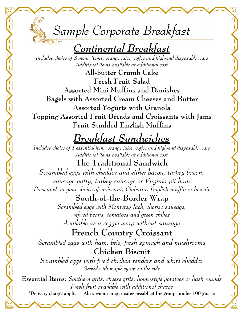

## *Continental Breakfast*

*Includes choice of 3 menu items, orange juice, coffee and high-end disposable ware Additional items available at additional cost*

**All-butter Crumb Cake Fresh Fruit Salad Assorted Mini Muffins and Danishes Bagels with Assorted Cream Cheeses and Butter Assorted Yogurts with Granola Topping Assorted Fruit Breads and Croissants with Jams Fruit Studded English Muffins** 

# *Breakfast Sandwiches*

*Includes choice of 1 essential item, orange juice, coffee and high-end disposable ware Additional items available at additional cost*

**The Traditional Sandwich** *Scrambled eggs with cheddar and either bacon, turkey bacon, sausage patty, turkey sausage or Virginia pit ham Presented on your choice of croissant, Ciabatta, English muffin or biscuit*

### **South-of-the-Border Wrap**

*Scrambled eggs with Monterey Jack, chorizo sausage, refried beans, tomatoes and green chilies Available as a veggie wrap without sausage*

**French Country Croissant** *Scrambled eggs with ham, brie, fresh spinach and mushrooms* **Chicken Biscuit** *Scrambled eggs with fried chicken tenders and white cheddar Served with maple syrup on the side* 

**Essential Items:** *Southern grits, cheese grits, home-style potatoes or hash rounds Fresh fruit available with additional charge*  **\*Delivery charge applies – Also, we no longer cater breakfast for groups under 100 guests**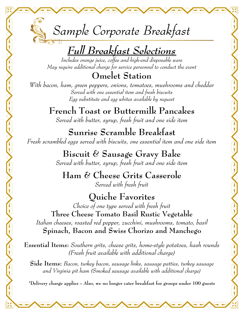*Sample Corporate Breakfast*   $2.7c$ 

# *Full Breakfast Selections*

*Includes orange juice, coffee and high-end disposable ware May require additional charge for service personnel to conduct the event*

**Omelet Station**

*With bacon, ham, green peppers, onions, tomatoes, mushrooms and cheddar Served with one essential item and fresh biscuits Egg substitute and egg whites available by request* 

> **French Toast or Buttermilk Pancakes** *Served with butter, syrup, fresh fruit and one side item*

**Sunrise Scramble Breakfast** *Fresh scrambled eggs served with biscuits, one essential item and one side item* 

**Biscuit & Sausage Gravy Bake**

*Served with butter, syrup, fresh fruit and one side item* 

#### **Ham & Cheese Grits Casserole** *Served with fresh fruit*

**Quiche Favorites** *Choice of one type served with fresh fruit*  **Three Cheese Tomato Basil Rustic Vegetable** *Italian cheeses, roasted red pepper, zucchini, mushrooms, tomato, basil* **Spinach, Bacon and Swiss Chorizo and Manchego** 

**Essential Items:** *Southern grits, cheese grits, home-style potatoes, hash rounds (Fresh fruit available with additional charge)* 

**Side Items:** *Bacon, turkey bacon, sausage links, sausage patties, turkey sausage and Virginia pit ham (Smoked sausage available with additional charge)* 

**\*Delivery charge applies – Also, we no longer cater breakfast for groups under 100 guests**